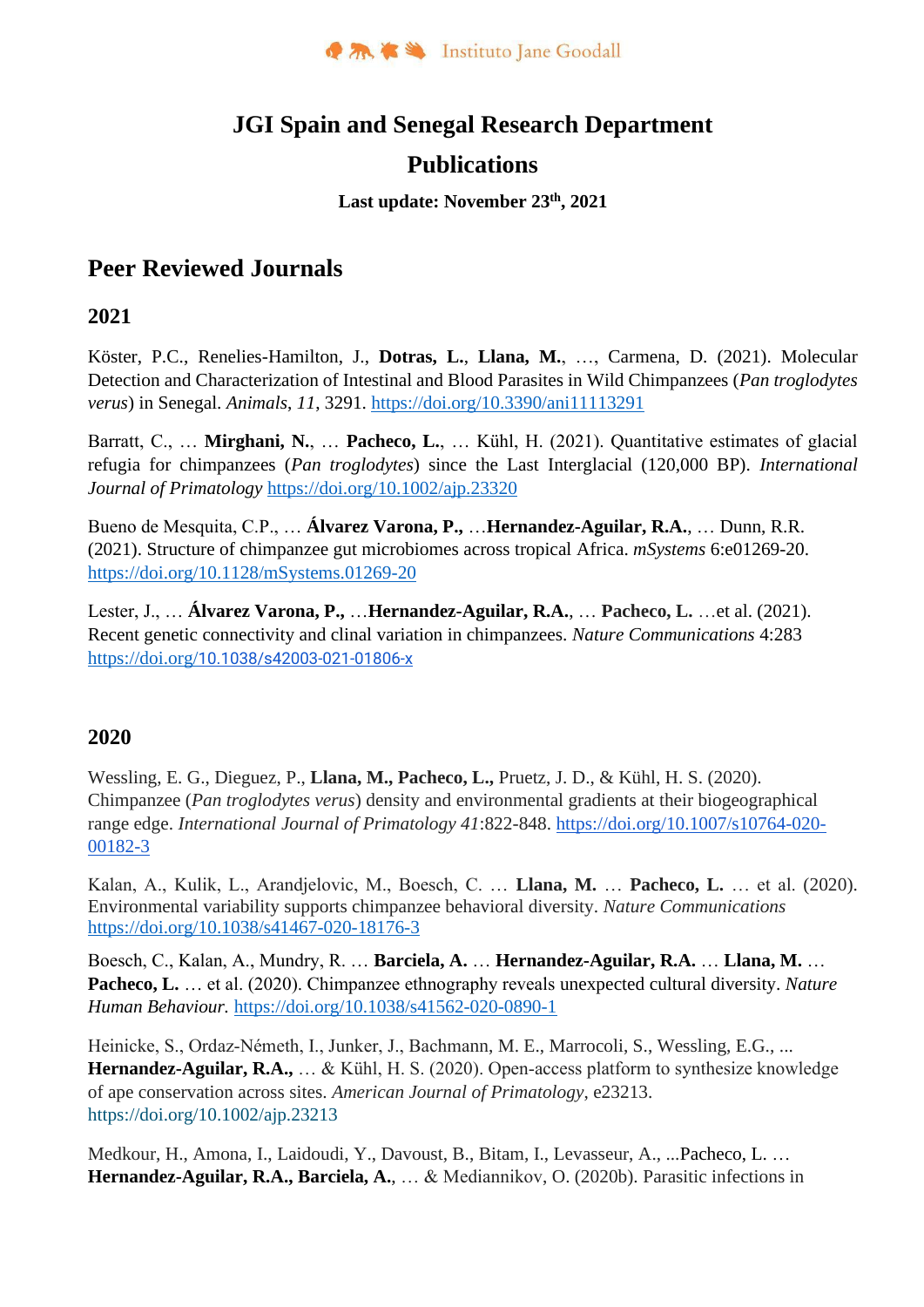

# **JGI Spain and Senegal Research Department**

## **Publications**

#### **Last update: November 23th, 2021**

## **Peer Reviewed Journals**

## **2021**

Köster, P.C., Renelies-Hamilton, J., **Dotras, L.**, **Llana, M.**, …, Carmena, D. (2021). Molecular Detection and Characterization of Intestinal and Blood Parasites in Wild Chimpanzees (*Pan troglodytes verus*) in Senegal. *Animals*, *11*, 3291. <https://doi.org/10.3390/ani11113291>

Barratt, C., … **Mirghani, N.**, … **Pacheco, L.**, … Kühl, H. (2021). Quantitative estimates of glacial refugia for chimpanzees (*Pan troglodytes*) since the Last Interglacial (120,000 BP). *International Journal of Primatology* <https://doi.org/10.1002/ajp.23320>

Bueno de Mesquita, C.P., … **Álvarez Varona, P.,** …**Hernandez-Aguilar, R.A.**, … Dunn, R.R. (2021). Structure of chimpanzee gut microbiomes across tropical Africa. *mSystems* 6:e01269-20. https://doi.org/10.1128/mSystems.01269-20

Lester, J., … **Álvarez Varona, P.,** …**Hernandez-Aguilar, R.A.**, … **Pacheco, L.** …et al. (2021). Recent genetic connectivity and clinal variation in chimpanzees. *Nature Communications* 4:283 https://doi.org/[10.1038/s42003-021-01806-x](https://www.nature.com/articles/s42003-021-01806-x)

## **2020**

Wessling, E. G., Dieguez, P., **Llana, M., Pacheco, L.,** Pruetz, J. D., & Kühl, H. S. (2020). Chimpanzee (*Pan troglodytes verus*) density and environmental gradients at their biogeographical range edge. *International Journal of Primatology 41*:822-848. [https://doi.org/10.1007/s10764-020-](https://doi.org/10.1007/s10764-020-00182-3) [00182-3](https://doi.org/10.1007/s10764-020-00182-3)

Kalan, A., Kulik, L., Arandjelovic, M., Boesch, C. … **Llana, M.** … **Pacheco, L.** … et al. (2020). Environmental variability supports chimpanzee behavioral diversity. *Nature Communications* https://doi.org/10.1038/s41467-020-18176-3

Boesch, C., Kalan, A., Mundry, R. … **Barciela, A.** … **Hernandez-Aguilar, R.A.** … **Llana, M.** … **Pacheco, L.** … et al. (2020). Chimpanzee ethnography reveals unexpected cultural diversity. *Nature Human Behaviour.* <https://doi.org/10.1038/s41562-020-0890-1>

Heinicke, S., Ordaz‐Németh, I., Junker, J., Bachmann, M. E., Marrocoli, S., Wessling, E.G., ... Hernandez-Aguilar, R.A., ... & Kühl, H. S. (2020). Open-access platform to synthesize knowledge of ape conservation across sites. *American Journal of Primatology*, e23213. <https://doi.org/10.1002/ajp.23213>

Medkour, H., Amona, I., Laidoudi, Y., Davoust, B., Bitam, I., Levasseur, A., ...Pacheco, L. … **Hernandez-Aguilar, R.A., Barciela, A.**, … & Mediannikov, O. (2020b). Parasitic infections in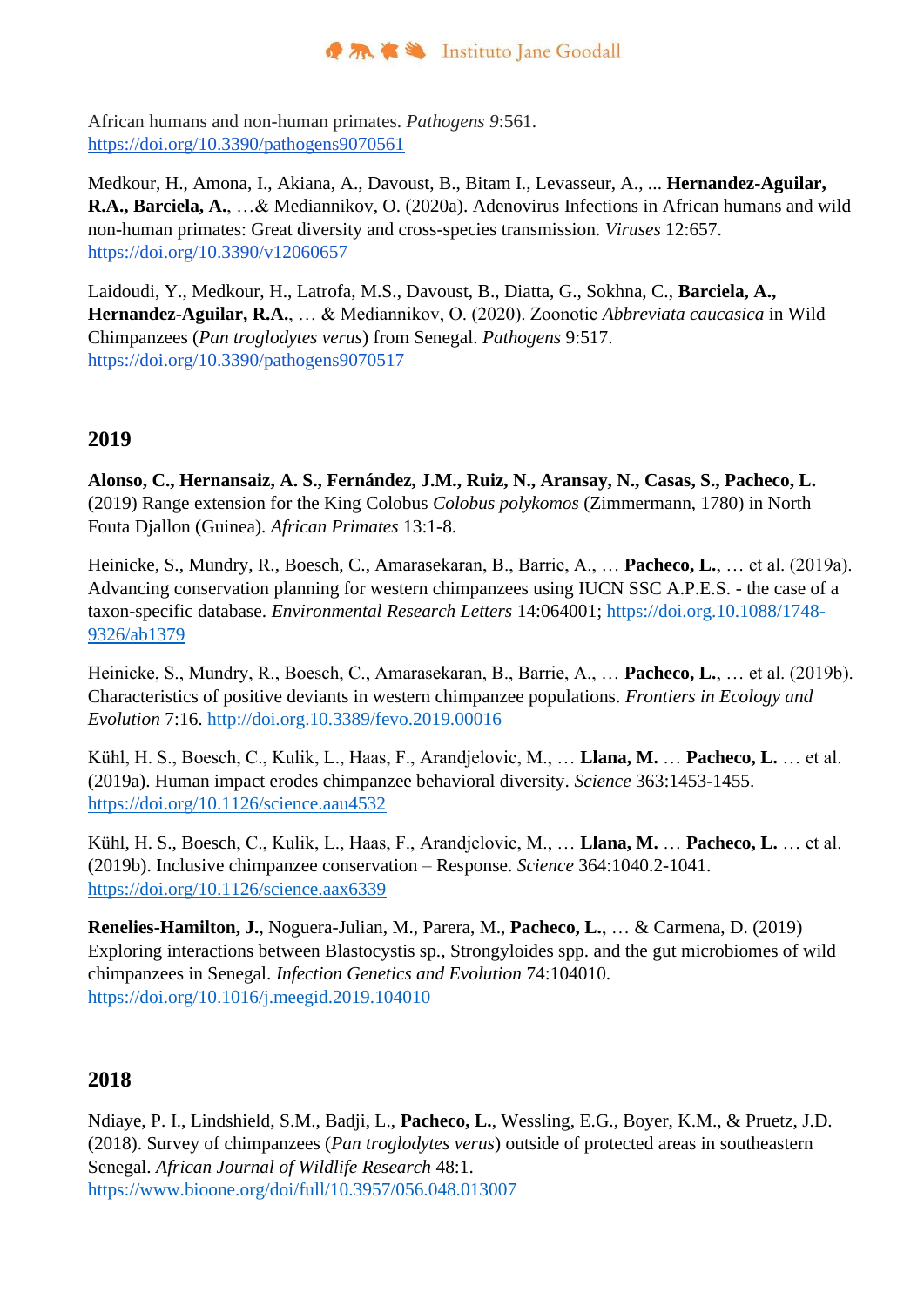African humans and non-human primates. *Pathogens 9*:561. <https://doi.org/10.3390/pathogens9070561>

Medkour, H., Amona, I., Akiana, A., Davoust, B., Bitam I., Levasseur, A., ... **Hernandez-Aguilar, R.A., Barciela, A.**, …& Mediannikov, O. (2020a). Adenovirus Infections in African humans and wild non-human primates: Great diversity and cross-species transmission. *Viruses* 12:657. <https://doi.org/10.3390/v12060657>

Laidoudi, Y., Medkour, H., Latrofa, M.S., Davoust, B., Diatta, G., Sokhna, C., **Barciela, A., Hernandez-Aguilar, R.A.**, … & Mediannikov, O. (2020). Zoonotic *Abbreviata caucasica* in Wild Chimpanzees (*Pan troglodytes verus*) from Senegal. *Pathogens* 9:517. <https://doi.org/10.3390/pathogens9070517>

## **2019**

**Alonso, C., Hernansaiz, A. S., Fernández, J.M., Ruiz, N., Aransay, N., Casas, S., Pacheco, L.** (2019) Range extension for the King Colobus *Colobus polykomos* (Zimmermann, 1780) in North Fouta Djallon (Guinea). *African Primates* 13:1-8.

Heinicke, S., Mundry, R., Boesch, C., Amarasekaran, B., Barrie, A., … **Pacheco, L.**, … et al. (2019a). Advancing conservation planning for western chimpanzees using IUCN SSC A.P.E.S. - the case of a taxon-specific database. *Environmental Research Letters* 14:064001; https://doi.org.10.1088/1748- 9326/ab1379

Heinicke, S., Mundry, R., Boesch, C., Amarasekaran, B., Barrie, A., … **Pacheco, L.**, … et al. (2019b). Characteristics of positive deviants in western chimpanzee populations. *Frontiers in Ecology and Evolution* 7:16. http://doi.org.10.3389/fevo.2019.00016

Kühl, H. S., Boesch, C., Kulik, L., Haas, F., Arandjelovic, M., … **Llana, M.** … **Pacheco, L.** … et al. (2019a). Human impact erodes chimpanzee behavioral diversity. *Science* 363:1453-1455. <https://doi.org/10.1126/science.aau4532>

Kühl, H. S., Boesch, C., Kulik, L., Haas, F., Arandjelovic, M., … **Llana, M.** … **Pacheco, L.** … et al. (2019b). Inclusive chimpanzee conservation – Response. *Science* 364:1040.2-1041. <https://doi.org/10.1126/science.aax6339>

**Renelies-Hamilton, J.**, Noguera-Julian, M., Parera, M., **Pacheco, L.**, … & Carmena, D. (2019) Exploring interactions between Blastocystis sp., Strongyloides spp. and the gut microbiomes of wild chimpanzees in Senegal. *Infection Genetics and Evolution* 74:104010. https://doi.org/10.1016/j.meegid.2019.104010

## **2018**

Ndiaye, P. I., Lindshield, S.M., Badji, L., **Pacheco, L.**, Wessling, E.G., Boyer, K.M., & Pruetz, J.D. (2018). Survey of chimpanzees (*Pan troglodytes verus*) outside of protected areas in southeastern Senegal. *African Journal of Wildlife Research* 48:1. https://www.bioone.org/doi/full/10.3957/056.048.013007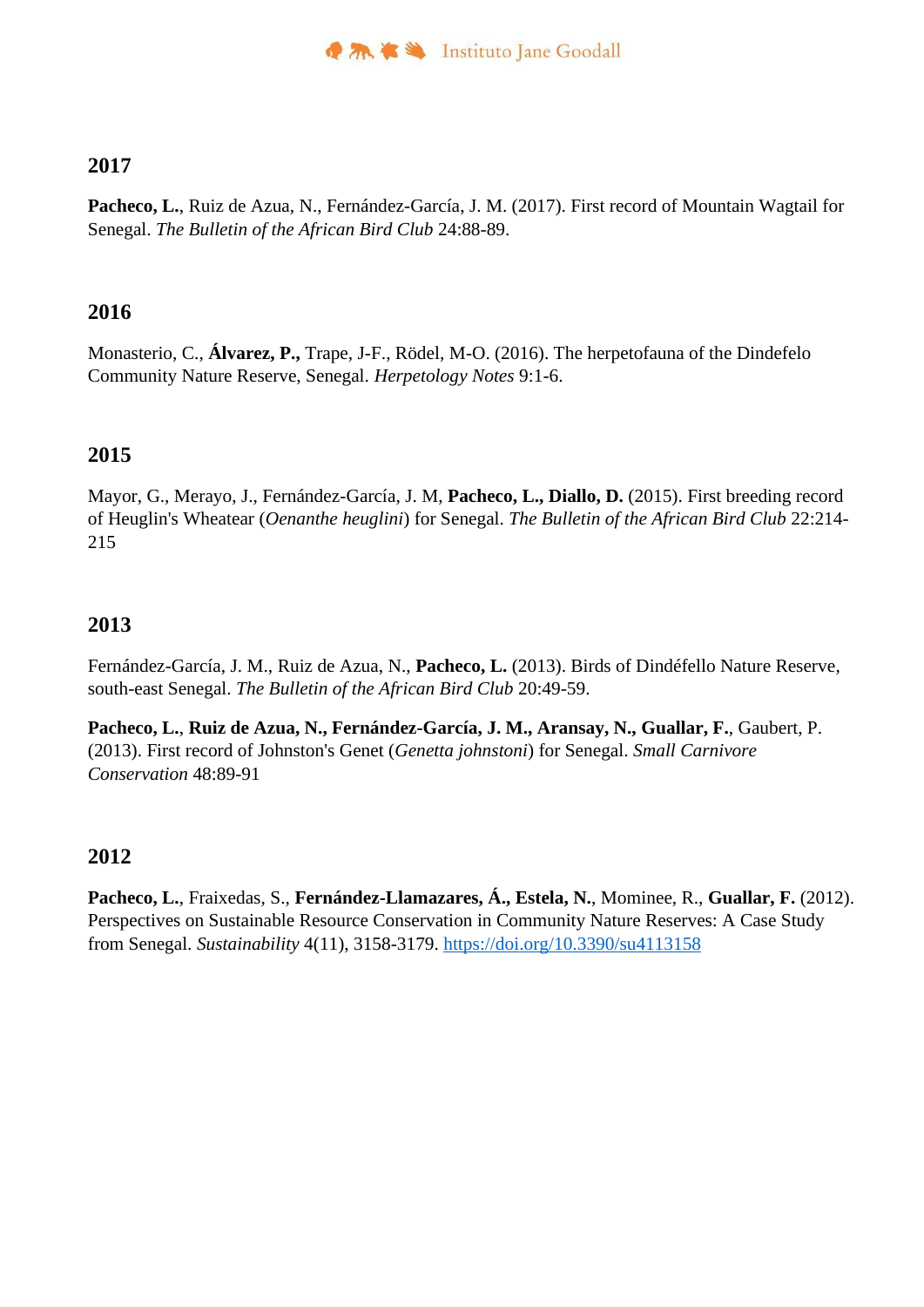### **2017**

**Pacheco, L.**, Ruiz de Azua, N., Fernández-García, J. M. (2017). First record of Mountain Wagtail for Senegal. *The Bulletin of the African Bird Club* 24:88-89.

#### **2016**

Monasterio, C., **Álvarez, P.,** Trape, J-F., Rödel, M-O. (2016). The herpetofauna of the Dindefelo Community Nature Reserve, Senegal. *Herpetology Notes* 9:1-6.

#### **2015**

Mayor, G., Merayo, J., Fernández-García, J. M, **Pacheco, L., Diallo, D.** (2015). First breeding record of Heuglin's Wheatear (*Oenanthe heuglini*) for Senegal. *The Bulletin of the African Bird Club* 22:214- 215

#### **2013**

Fernández-García, J. M., Ruiz de Azua, N., **Pacheco, L.** (2013). Birds of Dindéfello Nature Reserve, south-east Senegal. *The Bulletin of the African Bird Club* 20:49-59.

**Pacheco, L.**, **Ruiz de Azua, N., Fernández-García, J. M., Aransay, N., Guallar, F.**, Gaubert, P. (2013). First record of Johnston's Genet (*Genetta johnstoni*) for Senegal. *Small Carnivore Conservation* 48:89-91

## **2012**

**Pacheco, L.**, Fraixedas, S., **Fernández-Llamazares, Á., Estela, N.**, Mominee, R., **Guallar, F.** (2012). Perspectives on Sustainable Resource Conservation in Community Nature Reserves: A Case Study from Senegal. *Sustainability* 4(11), 3158-3179. https://doi.org/10.3390/su4113158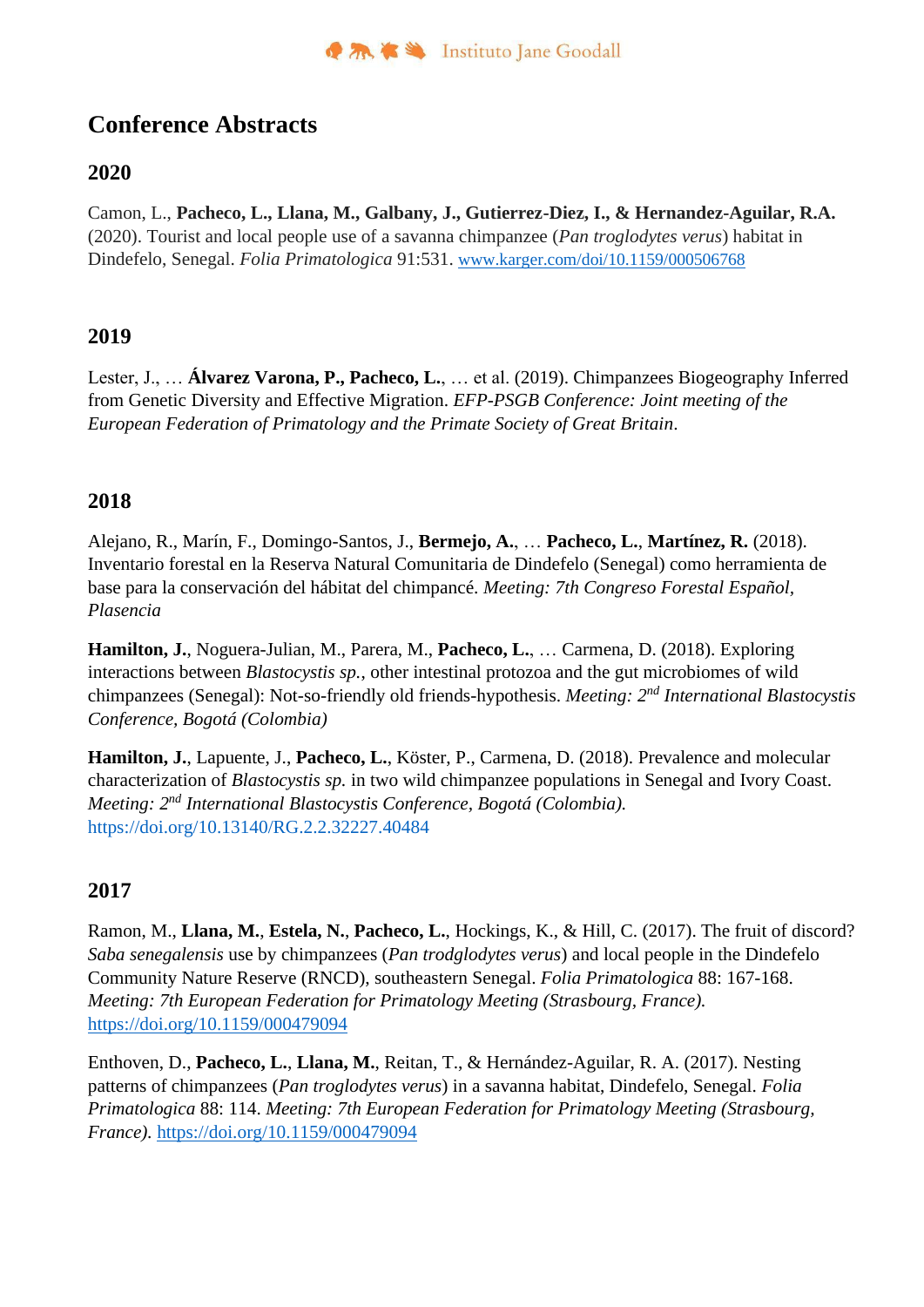## **Conference Abstracts**

## **2020**

Camon, L., **Pacheco, L., Llana, M., Galbany, J., Gutierrez-Diez, I., & Hernandez-Aguilar, R.A.** (2020). Tourist and local people use of a savanna chimpanzee (*Pan troglodytes verus*) habitat in Dindefelo, Senegal. *Folia Primatologica* 91:531. [www.karger.com/doi/10.1159/000506768](http://www.karger.com/doi/10.1159/000506768)

## **2019**

Lester, J., … **Álvarez Varona, P., Pacheco, L.**, … et al. (2019). Chimpanzees Biogeography Inferred from Genetic Diversity and Effective Migration. *EFP-PSGB Conference: Joint meeting of the European Federation of Primatology and the Primate Society of Great Britain*.

## **2018**

Alejano, R., Marín, F., Domingo-Santos, J., **Bermejo, A.**, … **Pacheco, L.**, **Martínez, R.** (2018). Inventario forestal en la Reserva Natural Comunitaria de Dindefelo (Senegal) como herramienta de base para la conservación del hábitat del chimpancé. *Meeting: 7th Congreso Forestal Español, Plasencia*

**Hamilton, J.**, Noguera-Julian, M., Parera, M., **Pacheco, L.**, … Carmena, D. (2018). Exploring interactions between *Blastocystis sp.*, other intestinal protozoa and the gut microbiomes of wild chimpanzees (Senegal): Not-so-friendly old friends-hypothesis. *Meeting: 2nd International Blastocystis Conference, Bogotá (Colombia)*

**Hamilton, J.**, Lapuente, J., **Pacheco, L.**, Köster, P., Carmena, D. (2018). Prevalence and molecular characterization of *Blastocystis sp.* in two wild chimpanzee populations in Senegal and Ivory Coast. *Meeting: 2nd International Blastocystis Conference, Bogotá (Colombia).*  https://doi.org/10.13140/RG.2.2.32227.40484

## **2017**

Ramon, M., **Llana, M.**, **Estela, N.**, **Pacheco, L.**, Hockings, K., & Hill, C. (2017). The fruit of discord? *Saba senegalensis* use by chimpanzees (*Pan trodglodytes verus*) and local people in the Dindefelo Community Nature Reserve (RNCD), southeastern Senegal. *Folia Primatologica* 88: 167-168. *Meeting: 7th European Federation for Primatology Meeting (Strasbourg, France).*  https://doi.org/10.1159/000479094

Enthoven, D., **Pacheco, L.**, **Llana, M.**, Reitan, T., & Hernández-Aguilar, R. A. (2017). Nesting patterns of chimpanzees (*Pan troglodytes verus*) in a savanna habitat, Dindefelo, Senegal. *Folia Primatologica* 88: 114. *Meeting: 7th European Federation for Primatology Meeting (Strasbourg, France).* https://doi.org/10.1159/000479094